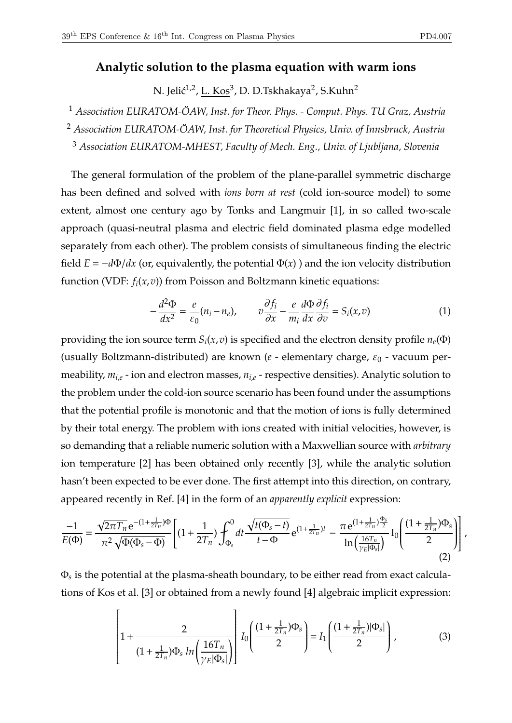## **Analytic solution to the plasma equation with warm ions**

N. Jelić<sup>1,2</sup>, <u>L. Kos</u><sup>3</sup>, D. D.Tskhakaya<sup>2</sup>, S.Kuhn<sup>2</sup>

<sup>1</sup> *Association EURATOM-ÖAW, Inst. for Theor. Phys. - Comput. Phys. TU Graz, Austria*

<sup>2</sup> *Association EURATOM-ÖAW, Inst. for Theoretical Physics, Univ. of Innsbruck, Austria*

<sup>3</sup> *Association EURATOM-MHEST, Faculty of Mech. Eng., Univ. of Ljubljana, Slovenia*

The general formulation of the problem of the plane-parallel symmetric discharge has been defined and solved with *ions born at rest* (cold ion-source model) to some extent, almost one century ago by Tonks and Langmuir [1], in so called two-scale approach (quasi-neutral plasma and electric field dominated plasma edge modelled separately from each other). The problem consists of simultaneous finding the electric field  $E = -d\Phi/dx$  (or, equivalently, the potential  $\Phi(x)$ ) and the ion velocity distribution function (VDF: *f<sup>i</sup>* (*x*,*v*)) from Poisson and Boltzmann kinetic equations:

$$
-\frac{d^2\Phi}{dx^2} = \frac{e}{\varepsilon_0}(n_i - n_e), \qquad v\frac{\partial f_i}{\partial x} - \frac{e}{m_i}\frac{d\Phi}{dx}\frac{\partial f_i}{\partial v} = S_i(x, v)
$$
(1)

providing the ion source term  $S_i(x,v)$  is specified and the electron density profile  $n_e(\Phi)$ (usually Boltzmann-distributed) are known (*e* - elementary charge, *ε*<sub>0</sub> - vacuum permeability, *mi*,*<sup>e</sup>* - ion and electron masses, *ni*,*<sup>e</sup>* - respective densities). Analytic solution to the problem under the cold-ion source scenario has been found under the assumptions that the potential profile is monotonic and that the motion of ions is fully determined by their total energy. The problem with ions created with initial velocities, however, is so demanding that a reliable numeric solution with a Maxwellian source with *arbitrary* ion temperature [2] has been obtained only recently [3], while the analytic solution hasn't been expected to be ever done. The first attempt into this direction, on contrary, appeared recently in Ref. [4] in the form of an *apparently explicit* expression:

$$
\frac{-1}{E(\Phi)} = \frac{\sqrt{2\pi T_n} e^{-(1+\frac{1}{2T_n})\Phi}}{\pi^2 \sqrt{\Phi(\Phi_s - \Phi)}} \left[ (1+\frac{1}{2T_n}) \int_{\Phi_s}^0 dt \frac{\sqrt{t(\Phi_s - t)}}{t - \Phi} e^{(1+\frac{1}{2T_n})t} - \frac{\pi e^{(1+\frac{1}{2T_n})\frac{\Phi_s}{2}}}{\ln\left(\frac{16T_n}{\gamma_E|\Phi_s|}\right)} I_0 \left( \frac{(1+\frac{1}{2T_n})\Phi_s}{2} \right) \right],
$$
\n(2)

 $\Phi_{\!s}$  is the potential at the plasma-sheath boundary, to be either read from exact calculations of Kos et al. [3] or obtained from a newly found [4] algebraic implicit expression:

$$
\left[1 + \frac{2}{(1 + \frac{1}{2T_n})\Phi_s \ln\left(\frac{16T_n}{\gamma_E|\Phi_s|}\right)}\right] I_0\left(\frac{(1 + \frac{1}{2T_n})\Phi_s}{2}\right) = I_1\left(\frac{(1 + \frac{1}{2T_n})|\Phi_s|}{2}\right),\tag{3}
$$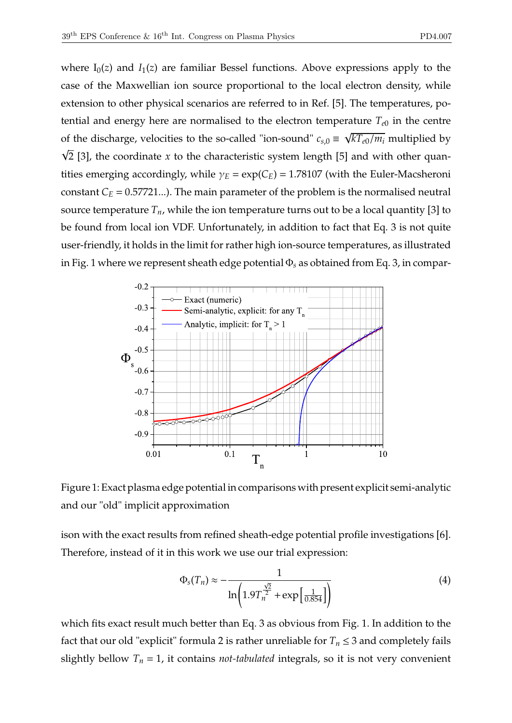where  $I_0(z)$  and  $I_1(z)$  are familiar Bessel functions. Above expressions apply to the case of the Maxwellian ion source proportional to the local electron density, while extension to other physical scenarios are referred to in Ref. [5]. The temperatures, potential and energy here are normalised to the electron temperature  $T_{e0}$  in the centre of the discharge, velocities to the so-called "ion-sound"  $c_{s,0} \equiv \sqrt{kT_{e0}/m_i}$  multiplied by  $\sqrt{2}$  [3], the coordinate *x* to the characteristic system length [5] and with other quantities emerging accordingly, while  $\gamma_E = \exp(C_E) = 1.78107$  (with the Euler-Macsheroni constant  $C_E = 0.57721...$ ). The main parameter of the problem is the normalised neutral source temperature  $T_n$ , while the ion temperature turns out to be a local quantity [3] to be found from local ion VDF. Unfortunately, in addition to fact that Eq. 3 is not quite user-friendly, it holds in the limit for rather high ion-source temperatures, as illustrated in Fig. 1 where we represent sheath edge potential Φ*<sup>s</sup>* as obtained from Eq. 3, in compar-



Figure 1: Exact plasma edge potential in comparisons with present explicit semi-analytic and our "old" implicit approximation

ison with the exact results from refined sheath-edge potential profile investigations [6]. Therefore, instead of it in this work we use our trial expression:

$$
\Phi_s(T_n) \approx -\frac{1}{\ln\left(1.9T_n^{\frac{\sqrt{2}}{2}} + \exp\left[\frac{1}{0.854}\right]\right)}
$$
(4)

which fits exact result much better than Eq. 3 as obvious from Fig. 1. In addition to the fact that our old "explicit" formula 2 is rather unreliable for  $T_n \leq 3$  and completely fails slightly bellow  $T_n = 1$ , it contains *not-tabulated* integrals, so it is not very convenient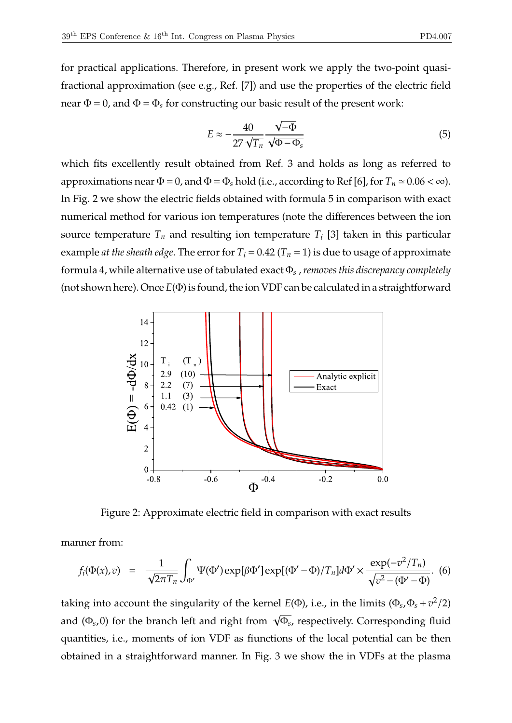for practical applications. Therefore, in present work we apply the two-point quasifractional approximation (see e.g., Ref. [7]) and use the properties of the electric field near  $\Phi = 0$ , and  $\Phi = \Phi_s$  for constructing our basic result of the present work:

$$
E \approx -\frac{40}{27\sqrt{T_n}} \frac{\sqrt{-\Phi}}{\sqrt{\Phi - \Phi_s}}
$$
(5)

which fits excellently result obtained from Ref. 3 and holds as long as referred to approximations near  $\Phi = 0$ , and  $\Phi = \Phi_s$  hold (i.e., according to Ref [6], for  $T_n \simeq 0.06 < \infty$ ). In Fig. 2 we show the electric fields obtained with formula 5 in comparison with exact numerical method for various ion temperatures (note the differences between the ion source temperature *T<sup>n</sup>* and resulting ion temperature *T<sup>i</sup>* [3] taken in this particular example *at the sheath edge*. The error for  $T_i = 0.42$  ( $T_n = 1$ ) is due to usage of approximate formula 4, while alternative use of tabulated exact Φ*<sup>s</sup>* ,*removes this discrepancy completely* (not shown here). Once *E*(Φ) is found, the ion VDF can be calculated in a straightforward



Figure 2: Approximate electric field in comparison with exact results

manner from:

$$
f_i(\Phi(x),v) = \frac{1}{\sqrt{2\pi T_n}} \int_{\Phi'} \Psi(\Phi') \exp[\beta \Phi'] \exp[(\Phi' - \Phi)/T_n] d\Phi' \times \frac{\exp(-v^2/T_n)}{\sqrt{v^2 - (\Phi' - \Phi)}}.
$$
 (6)

taking into account the singularity of the kernel  $E(\Phi)$ , i.e., in the limits  $(\Phi_s, \Phi_s + v^2/2)$ and (Φ*<sup>s</sup>* ,0) for the branch left and right from <sup>√</sup> Φ*s* , respectively. Corresponding fluid quantities, i.e., moments of ion VDF as fiunctions of the local potential can be then obtained in a straightforward manner. In Fig. 3 we show the in VDFs at the plasma